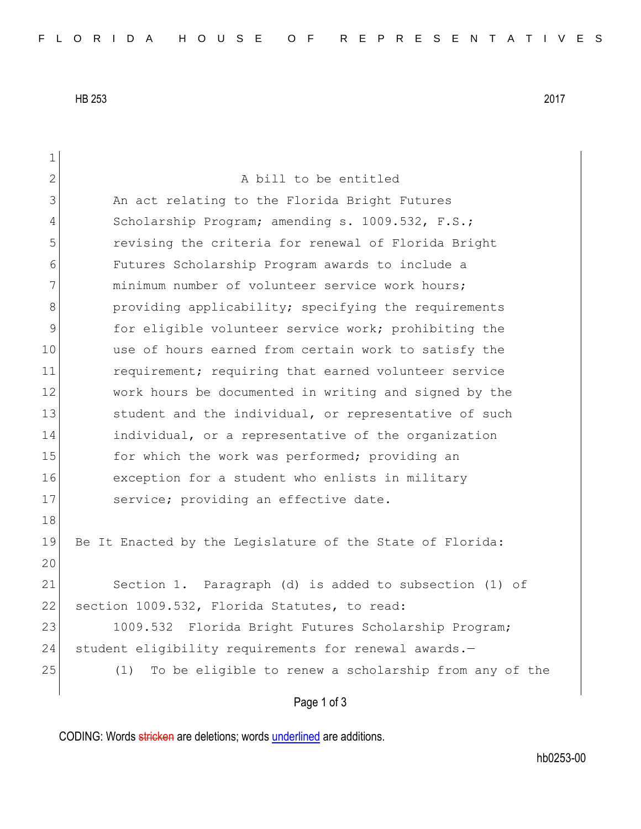HB 253 2017

| 1             |                                                              |
|---------------|--------------------------------------------------------------|
| $\mathbf{2}$  | A bill to be entitled                                        |
| 3             | An act relating to the Florida Bright Futures                |
| 4             | Scholarship Program; amending s. 1009.532, F.S.;             |
| 5             | revising the criteria for renewal of Florida Bright          |
| 6             | Futures Scholarship Program awards to include a              |
| 7             | minimum number of volunteer service work hours;              |
| 8             | providing applicability; specifying the requirements         |
| $\mathcal{G}$ | for eligible volunteer service work; prohibiting the         |
| 10            | use of hours earned from certain work to satisfy the         |
| 11            | requirement; requiring that earned volunteer service         |
| 12            | work hours be documented in writing and signed by the        |
| 13            | student and the individual, or representative of such        |
| 14            | individual, or a representative of the organization          |
| 15            | for which the work was performed; providing an               |
| 16            | exception for a student who enlists in military              |
| 17            | service; providing an effective date.                        |
| 18            |                                                              |
| 19            | Be It Enacted by the Legislature of the State of Florida:    |
| 20            |                                                              |
| 21            | Section 1. Paragraph (d) is added to subsection (1) of       |
| 22            | section 1009.532, Florida Statutes, to read:                 |
| 23            | 1009.532 Florida Bright Futures Scholarship Program;         |
| 24            | student eligibility requirements for renewal awards.-        |
| 25            | To be eligible to renew a scholarship from any of the<br>(1) |
|               | Page 1 of 3                                                  |

CODING: Words stricken are deletions; words underlined are additions.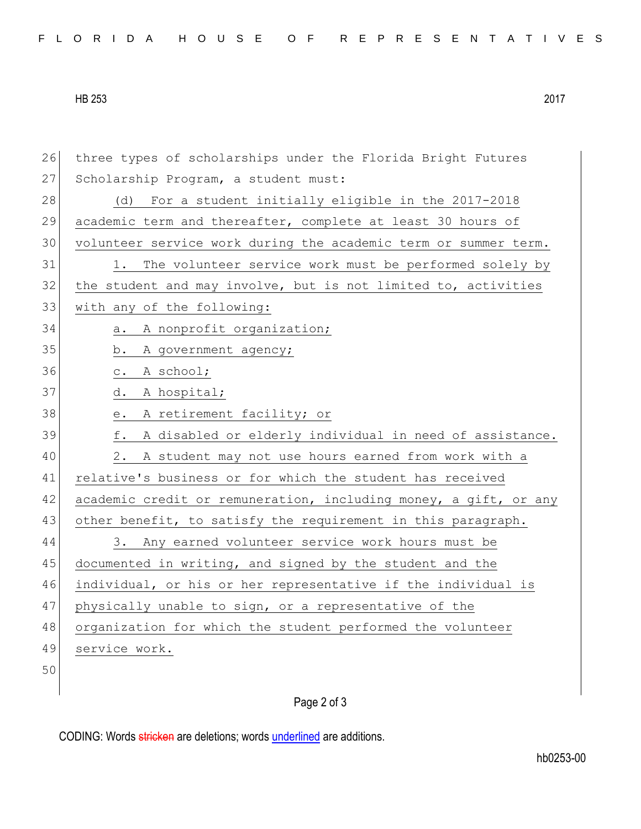| FLORIDA HOUSE OF REPRESENTATIVES |  |
|----------------------------------|--|
|----------------------------------|--|

HB 253 2017

26 three types of scholarships under the Florida Bright Futures 27 Scholarship Program, a student must: 28 (d) For a student initially eligible in the 2017-2018 29 academic term and thereafter, complete at least 30 hours of 30 volunteer service work during the academic term or summer term. 31 1. The volunteer service work must be performed solely by  $32$  the student and may involve, but is not limited to, activities 33 with any of the following: 34 a. A nonprofit organization; 35 b. A government agency; 36 c. A school; 37 d. A hospital; 38 e. A retirement facility; or 39 f. A disabled or elderly individual in need of assistance. 40 2. A student may not use hours earned from work with a 41 relative's business or for which the student has received 42 academic credit or remuneration, including money, a gift, or any 43 other benefit, to satisfy the requirement in this paragraph. 44 3. Any earned volunteer service work hours must be 45 documented in writing, and signed by the student and the 46 individual, or his or her representative if the individual is 47 physically unable to sign, or a representative of the 48 organization for which the student performed the volunteer 49 service work. 50

## Page 2 of 3

CODING: Words stricken are deletions; words underlined are additions.